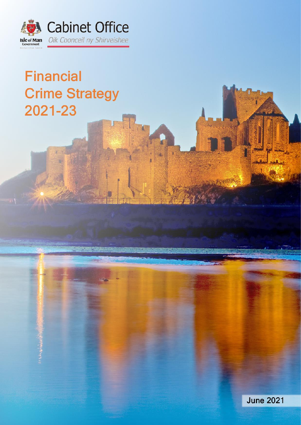

# **Financial Crime Strategy** 2021-23

**June 2021**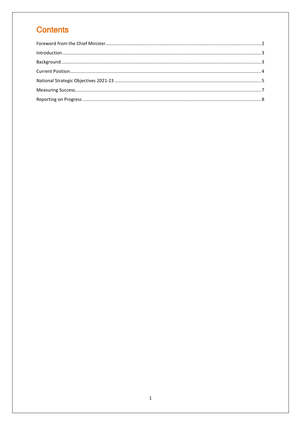# **Contents**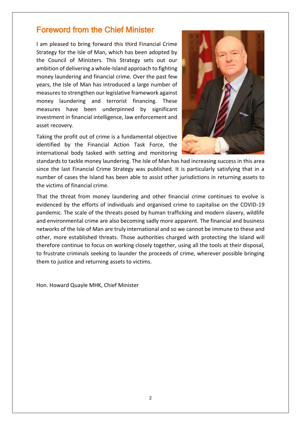#### <span id="page-2-0"></span>Foreword from the Chief Minister

I am pleased to bring forward this third Financial Crime Strategy for the Isle of Man, which has been adopted by the Council of Ministers. This Strategy sets out our ambition of delivering a whole-Island approach to fighting money laundering and financial crime. Over the past few years, the Isle of Man has introduced a large number of measures to strengthen our legislative framework against money laundering and terrorist financing. These measures have been underpinned by significant investment in financial intelligence, law enforcement and asset recovery.

Taking the profit out of crime is a fundamental objective identified by the Financial Action Task Force, the international body tasked with setting and monitoring



standards to tackle money laundering. The Isle of Man has had increasing success in this area since the last Financial Crime Strategy was published. It is particularly satisfying that in a number of cases the Island has been able to assist other jurisdictions in returning assets to the victims of financial crime.

That the threat from money laundering and other financial crime continues to evolve is evidenced by the efforts of individuals and organised crime to capitalise on the COVID-19 pandemic. The scale of the threats posed by human trafficking and modern slavery, wildlife and environmental crime are also becoming sadly more apparent. The financial and business networks of the Isle of Man are truly international and so we cannot be immune to these and other, more established threats. Those authorities charged with protecting the Island will therefore continue to focus on working closely together, using all the tools at their disposal, to frustrate criminals seeking to launder the proceeds of crime, wherever possible bringing them to justice and returning assets to victims.

Hon. Howard Quayle MHK, Chief Minister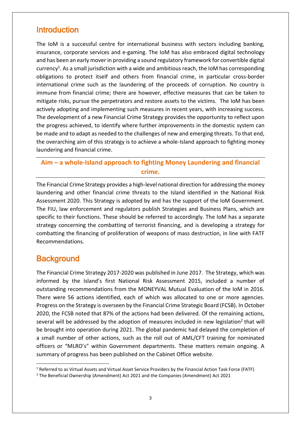#### <span id="page-3-0"></span>**Introduction**

The IoM is a successful centre for international business with sectors including banking, insurance, corporate services and e-gaming. The IoM has also embraced digital technology and has been an early mover in providing a sound regulatory framework for convertible digital currency<sup>1</sup>. As a small jurisdiction with a wide and ambitious reach, the IoM has corresponding obligations to protect itself and others from financial crime, in particular cross-border international crime such as the laundering of the proceeds of corruption. No country is immune from financial crime; there are however, effective measures that can be taken to mitigate risks, pursue the perpetrators and restore assets to the victims. The IoM has been actively adopting and implementing such measures in recent years, with increasing success. The development of a new Financial Crime Strategy provides the opportunity to reflect upon the progress achieved, to identify where further improvements in the domestic system can be made and to adapt as needed to the challenges of new and emerging threats. To that end, the overarching aim of this strategy is to achieve a whole-Island approach to fighting money laundering and financial crime.

#### **Aim – a whole-Island approach to fighting Money Laundering and financial crime.**

The Financial Crime Strategy provides a high-level national direction for addressing the money laundering and other financial crime threats to the Island identified in the National Risk Assessment 2020. This Strategy is adopted by and has the support of the IoM Government. The FIU, law enforcement and regulators publish Strategies and Business Plans, which are specific to their functions. These should be referred to accordingly. The IoM has a separate strategy concerning the combatting of terrorist financing, and is developing a strategy for combatting the financing of proliferation of weapons of mass destruction, in line with FATF Recommendations.

## <span id="page-3-1"></span>**Background**

The Financial Crime Strategy 2017-2020 was published in June 2017. The Strategy, which was informed by the Island's first National Risk Assessment 2015, included a number of outstanding recommendations from the MONEYVAL Mutual Evaluation of the IoM in 2016. There were 56 actions identified, each of which was allocated to one or more agencies. Progress on the Strategy is overseen by the Financial Crime Strategic Board (FCSB). In October 2020, the FCSB noted that 87% of the actions had been delivered. Of the remaining actions, several will be addressed by the adoption of measures included in new legislation<sup>2</sup> that will be brought into operation during 2021. The global pandemic had delayed the completion of a small number of other actions, such as the roll out of AML/CFT training for nominated officers or "MLRO's" within Government departments. These matters remain ongoing. A summary of progress has been published on the Cabinet Office website.

<sup>1</sup> <sup>1</sup> Referred to as Virtual Assets and Virtual Asset Service Providers by the Financial Action Task Force (FATF)

<sup>2</sup> The Beneficial Ownership (Amendment) Act 2021 and the Companies (Amendment) Act 2021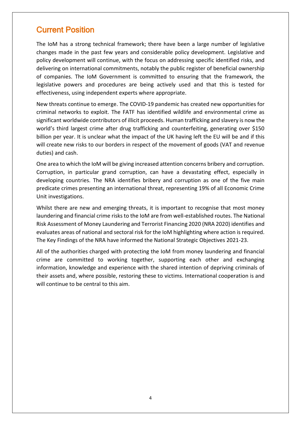## <span id="page-4-0"></span>Current Position

The IoM has a strong technical framework; there have been a large number of legislative changes made in the past few years and considerable policy development. Legislative and policy development will continue, with the focus on addressing specific identified risks, and delivering on international commitments, notably the public register of beneficial ownership of companies. The IoM Government is committed to ensuring that the framework, the legislative powers and procedures are being actively used and that this is tested for effectiveness, using independent experts where appropriate.

New threats continue to emerge. The COVID-19 pandemic has created new opportunities for criminal networks to exploit. The FATF has identified wildlife and environmental crime as significant worldwide contributors of illicit proceeds. Human trafficking and slavery is now the world's third largest crime after drug trafficking and counterfeiting, generating over \$150 billion per year. It is unclear what the impact of the UK having left the EU will be and if this will create new risks to our borders in respect of the movement of goods (VAT and revenue duties) and cash.

One area to which the IoM will be giving increased attention concerns bribery and corruption. Corruption, in particular grand corruption, can have a devastating effect, especially in developing countries. The NRA identifies bribery and corruption as one of the five main predicate crimes presenting an international threat, representing 19% of all Economic Crime Unit investigations.

Whilst there are new and emerging threats, it is important to recognise that most money laundering and financial crime risks to the IoM are from well-established routes. The National Risk Assessment of Money Laundering and Terrorist Financing 2020 (NRA 2020) identifies and evaluates areas of national and sectoral risk for the IoM highlighting where action is required. The Key Findings of the NRA have informed the National Strategic Objectives 2021-23.

All of the authorities charged with protecting the IoM from money laundering and financial crime are committed to working together, supporting each other and exchanging information, knowledge and experience with the shared intention of depriving criminals of their assets and, where possible, restoring these to victims. International cooperation is and will continue to be central to this aim.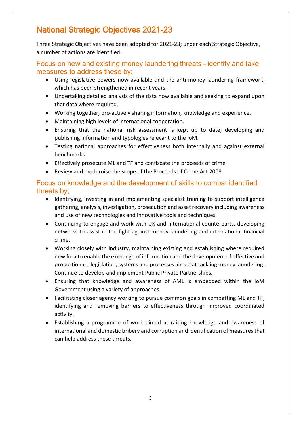# <span id="page-5-0"></span>National Strategic Objectives 2021-23

Three Strategic Objectives have been adopted for 2021-23; under each Strategic Objective, a number of actions are identified.

Focus on new and existing money laundering threats – identify and take measures to address these by;

- Using legislative powers now available and the anti-money laundering framework, which has been strengthened in recent years.
- Undertaking detailed analysis of the data now available and seeking to expand upon that data where required.
- Working together, pro-actively sharing information, knowledge and experience.
- Maintaining high levels of international cooperation.
- Ensuring that the national risk assessment is kept up to date; developing and publishing information and typologies relevant to the IoM.
- Testing national approaches for effectiveness both internally and against external benchmarks.
- Effectively prosecute ML and TF and confiscate the proceeds of crime
- Review and modernise the scope of the Proceeds of Crime Act 2008

#### Focus on knowledge and the development of skills to combat identified threats by;

- Identifying, investing in and implementing specialist training to support intelligence gathering, analysis, investigation, prosecution and asset recovery including awareness and use of new technologies and innovative tools and techniques.
- Continuing to engage and work with UK and international counterparts, developing networks to assist in the fight against money laundering and international financial crime.
- Working closely with industry, maintaining existing and establishing where required new fora to enable the exchange of information and the development of effective and proportionate legislation, systems and processes aimed at tackling money laundering. Continue to develop and implement Public Private Partnerships.
- Ensuring that knowledge and awareness of AML is embedded within the IoM Government using a variety of approaches.
- Facilitating closer agency working to pursue common goals in combatting ML and TF, identifying and removing barriers to effectiveness through improved coordinated activity.
- Establishing a programme of work aimed at raising knowledge and awareness of international and domestic bribery and corruption and identification of measures that can help address these threats.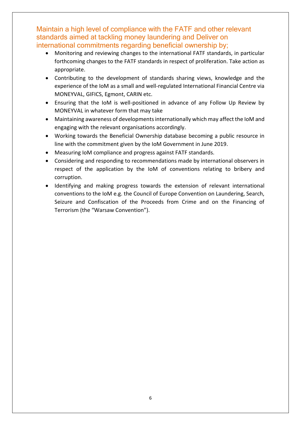Maintain a high level of compliance with the FATF and other relevant standards aimed at tackling money laundering and Deliver on international commitments regarding beneficial ownership by;

- Monitoring and reviewing changes to the international FATF standards, in particular forthcoming changes to the FATF standards in respect of proliferation. Take action as appropriate.
- Contributing to the development of standards sharing views, knowledge and the experience of the IoM as a small and well-regulated International Financial Centre via MONEYVAL, GIFICS, Egmont, CARIN etc.
- Ensuring that the IoM is well-positioned in advance of any Follow Up Review by MONEYVAL in whatever form that may take
- Maintaining awareness of developments internationally which may affect the IoM and engaging with the relevant organisations accordingly.
- Working towards the Beneficial Ownership database becoming a public resource in line with the commitment given by the IoM Government in June 2019.
- Measuring IoM compliance and progress against FATF standards.
- Considering and responding to recommendations made by international observers in respect of the application by the IoM of conventions relating to bribery and corruption.
- Identifying and making progress towards the extension of relevant international conventions to the IoM e.g. the Council of Europe Convention on Laundering, Search, Seizure and Confiscation of the Proceeds from Crime and on the Financing of Terrorism (the "Warsaw Convention").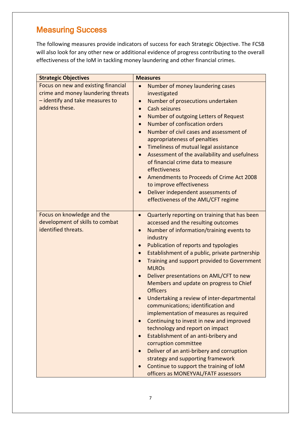# <span id="page-7-0"></span>Measuring Success

The following measures provide indicators of success for each Strategic Objective. The FCSB will also look for any other new or additional evidence of progress contributing to the overall effectiveness of the IoM in tackling money laundering and other financial crimes.

| <b>Strategic Objectives</b>                                                                                                    | <b>Measures</b>                                                                                                                                                                                                                                                                                                                                                                                                                                                                                                                                                                                                                                                                                                                                                                                                                                                                                         |
|--------------------------------------------------------------------------------------------------------------------------------|---------------------------------------------------------------------------------------------------------------------------------------------------------------------------------------------------------------------------------------------------------------------------------------------------------------------------------------------------------------------------------------------------------------------------------------------------------------------------------------------------------------------------------------------------------------------------------------------------------------------------------------------------------------------------------------------------------------------------------------------------------------------------------------------------------------------------------------------------------------------------------------------------------|
| Focus on new and existing financial<br>crime and money laundering threats<br>- identify and take measures to<br>address these. | Number of money laundering cases<br>$\bullet$<br>investigated<br>Number of prosecutions undertaken<br>Cash seizures<br>$\bullet$<br>Number of outgoing Letters of Request<br>Number of confiscation orders<br>$\bullet$<br>Number of civil cases and assessment of<br>appropriateness of penalties<br>Timeliness of mutual legal assistance<br>Assessment of the availability and usefulness<br>of financial crime data to measure<br>effectiveness<br>Amendments to Proceeds of Crime Act 2008<br>to improve effectiveness<br>Deliver independent assessments of<br>effectiveness of the AML/CFT regime                                                                                                                                                                                                                                                                                                |
| Focus on knowledge and the<br>development of skills to combat<br>identified threats.                                           | Quarterly reporting on training that has been<br>$\bullet$<br>accessed and the resulting outcomes<br>Number of information/training events to<br>$\bullet$<br>industry<br>Publication of reports and typologies<br>Establishment of a public, private partnership<br>Training and support provided to Government<br><b>MLROs</b><br>Deliver presentations on AML/CFT to new<br>Members and update on progress to Chief<br><b>Officers</b><br>Undertaking a review of inter-departmental<br>communications; identification and<br>implementation of measures as required<br>Continuing to invest in new and improved<br>$\bullet$<br>technology and report on impact<br>Establishment of an anti-bribery and<br>corruption committee<br>Deliver of an anti-bribery and corruption<br>strategy and supporting framework<br>Continue to support the training of IoM<br>officers as MONEYVAL/FATF assessors |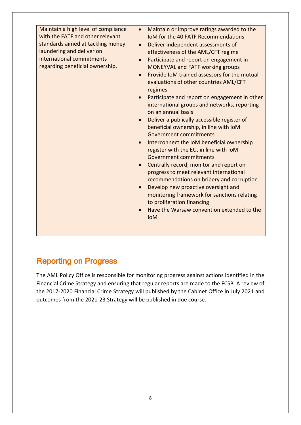| Maintain a high level of compliance<br>with the FATF and other relevant<br>standards aimed at tackling money<br>laundering and deliver on<br>international commitments<br>regarding beneficial ownership. | Maintain or improve ratings awarded to the<br>IoM for the 40 FATF Recommendations<br>Deliver independent assessments of<br>$\bullet$<br>effectiveness of the AML/CFT regime<br>Participate and report on engagement in<br><b>MONEYVAL and FATF working groups</b><br>Provide IoM trained assessors for the mutual<br>evaluations of other countries AML/CFT<br>regimes<br>Participate and report on engagement in other<br>international groups and networks, reporting<br>on an annual basis<br>Deliver a publically accessible register of<br>beneficial ownership, in line with IoM<br>Government commitments<br>Interconnect the IoM beneficial ownership<br>register with the EU, in line with IoM<br>Government commitments<br>Centrally record, monitor and report on<br>progress to meet relevant international<br>recommendations on bribery and corruption<br>Develop new proactive oversight and<br>monitoring framework for sanctions relating<br>to proliferation financing<br>Have the Warsaw convention extended to the<br><b>IoM</b> |
|-----------------------------------------------------------------------------------------------------------------------------------------------------------------------------------------------------------|------------------------------------------------------------------------------------------------------------------------------------------------------------------------------------------------------------------------------------------------------------------------------------------------------------------------------------------------------------------------------------------------------------------------------------------------------------------------------------------------------------------------------------------------------------------------------------------------------------------------------------------------------------------------------------------------------------------------------------------------------------------------------------------------------------------------------------------------------------------------------------------------------------------------------------------------------------------------------------------------------------------------------------------------------|

# <span id="page-8-0"></span>Reporting on Progress

The AML Policy Office is responsible for monitoring progress against actions identified in the Financial Crime Strategy and ensuring that regular reports are made to the FCSB. A review of the 2017-2020 Financial Crime Strategy will published by the Cabinet Office in July 2021 and outcomes from the 2021-23 Strategy will be published in due course.